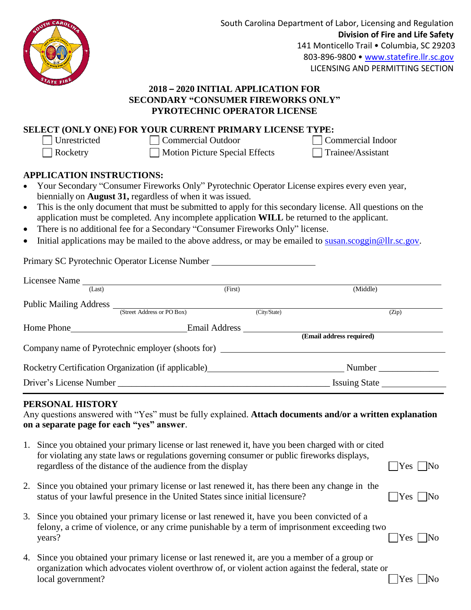

South Carolina Department of Labor, Licensing and Regulation **Division of Fire and Life Safety** 141 Monticello Trail · Columbia, SC 29203 803-896-9800 • [www.statefire.llr.sc.gov](http://www.statefire.llr.sc.gov/) LICENSING AND PERMITTING SECTION

## **2018 – 2020 INITIAL APPLICATION FOR SECONDARY "CONSUMER FIREWORKS ONLY" PYROTECHNIC OPERATOR LICENSE**

## **SELECT (ONLY ONE) FOR YOUR CURRENT PRIMARY LICENSE TYPE:**

□ Unrestricted Commercial Outdoor □ Commercial Indoor

Rocketry Motion Picture Special Effects Trainee/Assistant

## **APPLICATION INSTRUCTIONS:**

- Your Secondary "Consumer Fireworks Only" Pyrotechnic Operator License expires every even year, biennially on **August 31,** regardless of when it was issued.
- This is the only document that must be submitted to apply for this secondary license. All questions on the application must be completed. Any incomplete application **WILL** be returned to the applicant.
- There is no additional fee for a Secondary "Consumer Fireworks Only" license.
- $\bullet$  Initial applications may be mailed to the above address, or may be emailed to [susan.scoggin@llr.sc.gov.](mailto:susan.scoggin@llr.sc.gov)

Primary SC Pyrotechnic Operator License Number

| Licensee Name            |                                                     |              |                          |  |
|--------------------------|-----------------------------------------------------|--------------|--------------------------|--|
| (Last)                   |                                                     | (First)      | (Middle)                 |  |
| Public Mailing Address _ |                                                     |              |                          |  |
|                          | (Street Address or PO Box)                          | (City/State) | (Zip)                    |  |
| Home Phone               | Email Address                                       |              |                          |  |
|                          |                                                     |              | (Email address required) |  |
|                          | Company name of Pyrotechnic employer (shoots for)   |              |                          |  |
|                          | Rocketry Certification Organization (if applicable) |              | Number                   |  |
| Driver's License Number  |                                                     |              | <b>Issuing State</b>     |  |

## **PERSONAL HISTORY**

Any questions answered with "Yes" must be fully explained. **Attach documents and/or a written explanation on a separate page for each "yes" answer**.

- 1. Since you obtained your primary license or last renewed it, have you been charged with or cited for violating any state laws or regulations governing consumer or public fireworks displays, regardless of the distance of the audience from the display  $\Box$  Yes  $\Box$  No
- 2. Since you obtained your primary license or last renewed it, has there been any change in the status of your lawful presence in the United States since initial licensure?  $\Box$  Yes  $\Box$  No
- 3. Since you obtained your primary license or last renewed it, have you been convicted of a felony, a crime of violence, or any crime punishable by a term of imprisonment exceeding two  $\Box$  Yes  $\Box$  No
- 4. Since you obtained your primary license or last renewed it, are you a member of a group or organization which advocates violent overthrow of, or violent action against the federal, state or  $\Box$  local government?  $\Box$  Yes  $\Box$  No